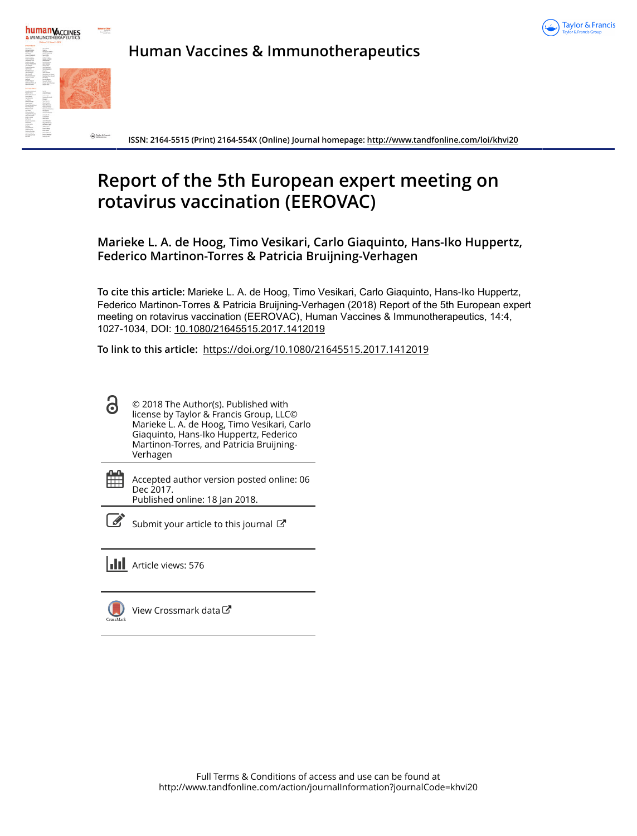



**Human Vaccines & Immunotherapeutics**

**ISSN: 2164-5515 (Print) 2164-554X (Online) Journal homepage: <http://www.tandfonline.com/loi/khvi20>**

# **Report of the 5th European expert meeting on rotavirus vaccination (EEROVAC)**

**Marieke L. A. de Hoog, Timo Vesikari, Carlo Giaquinto, Hans-Iko Huppertz, Federico Martinon-Torres & Patricia Bruijning-Verhagen**

**To cite this article:** Marieke L. A. de Hoog, Timo Vesikari, Carlo Giaquinto, Hans-Iko Huppertz, Federico Martinon-Torres & Patricia Bruijning-Verhagen (2018) Report of the 5th European expert meeting on rotavirus vaccination (EEROVAC), Human Vaccines & Immunotherapeutics, 14:4, 1027-1034, DOI: [10.1080/21645515.2017.1412019](http://www.tandfonline.com/action/showCitFormats?doi=10.1080/21645515.2017.1412019)

**To link to this article:** <https://doi.org/10.1080/21645515.2017.1412019>

- 6 © 2018 The Author(s). Published with license by Taylor & Francis Group, LLC© Marieke L. A. de Hoog, Timo Vesikari, Carlo Giaquinto, Hans-Iko Huppertz, Federico Martinon-Torres, and Patricia Bruijning-Verhagen
- 簂 Accepted author version posted online: 06 Dec 2017. Published online: 18 Jan 2018.



 $\overline{\mathscr{L}}$  [Submit your article to this journal](http://www.tandfonline.com/action/authorSubmission?journalCode=khvi20&show=instructions)  $\mathbb{F}$ 

**III** Article views: 576



[View Crossmark data](http://crossmark.crossref.org/dialog/?doi=10.1080/21645515.2017.1412019&domain=pdf&date_stamp=2017-12-06)<sup>C</sup>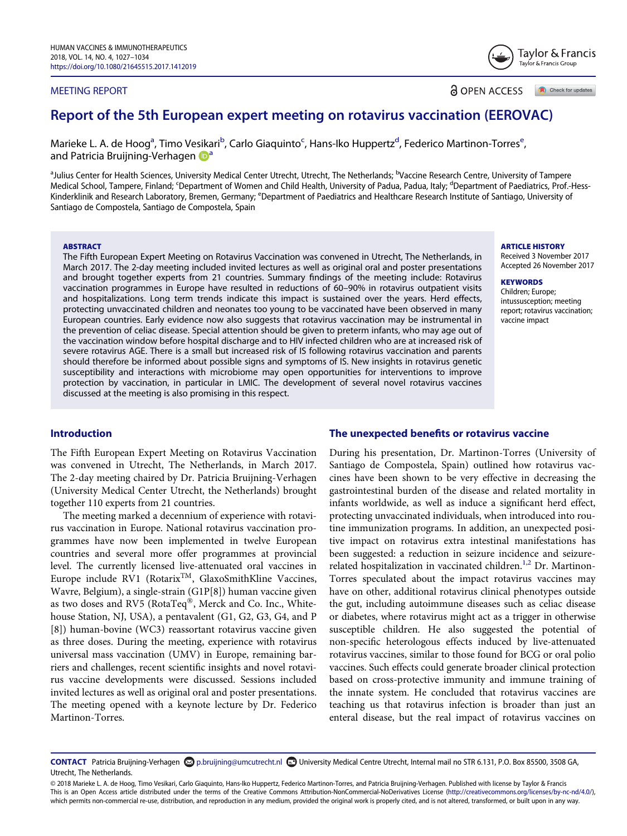## MEETING REPORT

**a** OPEN ACCESS Check for updates

# Report of the 5th European expert meeting on rotavirus vaccination (EEROVAC)

M[a](#page-1-0)ri[e](#page-1-2)ke L. A. de Hoog<sup>a</sup>, Timo Vesikari<sup>b</sup>, Carlo Giaquinto<sup>c</sup>, Hans-Iko Huppertz<sup>d</sup>, Federico Martinon-Torres<sup>e</sup> , [a](#page-1-0)nd Patricia Bruijning-Verhagen a

<span id="page-1-2"></span><span id="page-1-1"></span><span id="page-1-0"></span><sup>a</sup>Julius Center for Health Sciences, University Medical Center Utrecht, Utrecht, The Netherlands; <sup>b</sup>Vaccine Research Centre, University of Tampere Medical School, Tampere, Finland; <sup>c</sup>Department of Women and Child Health, University of Padua, Padua, Italy; <sup>d</sup>Department of Paediatrics, Prof.-Hess-Kinderklinik and Research Laboratory, Bremen, Germany; <sup>e</sup>Department of Paediatrics and Healthcare Research Institute of Santiago, University of Santiago de Compostela, Santiago de Compostela, Spain

# **ABSTRACT**

The Fifth European Expert Meeting on Rotavirus Vaccination was convened in Utrecht, The Netherlands, in March 2017. The 2-day meeting included invited lectures as well as original oral and poster presentations and brought together experts from 21 countries. Summary findings of the meeting include: Rotavirus vaccination programmes in Europe have resulted in reductions of 60–90% in rotavirus outpatient visits and hospitalizations. Long term trends indicate this impact is sustained over the years. Herd effects, protecting unvaccinated children and neonates too young to be vaccinated have been observed in many European countries. Early evidence now also suggests that rotavirus vaccination may be instrumental in the prevention of celiac disease. Special attention should be given to preterm infants, who may age out of the vaccination window before hospital discharge and to HIV infected children who are at increased risk of severe rotavirus AGE. There is a small but increased risk of IS following rotavirus vaccination and parents should therefore be informed about possible signs and symptoms of IS. New insights in rotavirus genetic susceptibility and interactions with microbiome may open opportunities for interventions to improve protection by vaccination, in particular in LMIC. The development of several novel rotavirus vaccines discussed at the meeting is also promising in this respect.

# Introduction

The Fifth European Expert Meeting on Rotavirus Vaccination was convened in Utrecht, The Netherlands, in March 2017. The 2-day meeting chaired by Dr. Patricia Bruijning-Verhagen (University Medical Center Utrecht, the Netherlands) brought together 110 experts from 21 countries.

The meeting marked a decennium of experience with rotavirus vaccination in Europe. National rotavirus vaccination programmes have now been implemented in twelve European countries and several more offer programmes at provincial level. The currently licensed live-attenuated oral vaccines in Europe include RV1 (Rotarix<sup>TM</sup>, GlaxoSmithKline Vaccines, Wavre, Belgium), a single-strain (G1P[8]) human vaccine given as two doses and RV5 (RotaTeq®, Merck and Co. Inc., Whitehouse Station, NJ, USA), a pentavalent (G1, G2, G3, G4, and P [8]) human-bovine (WC3) reassortant rotavirus vaccine given as three doses. During the meeting, experience with rotavirus universal mass vaccination (UMV) in Europe, remaining barriers and challenges, recent scientific insights and novel rotavirus vaccine developments were discussed. Sessions included invited lectures as well as original oral and poster presentations. The meeting opened with a keynote lecture by Dr. Federico Martinon-Torres.

#### The unexpected benefits or rotavirus vaccine

During his presentation, Dr. Martinon-Torres (University of Santiago de Compostela, Spain) outlined how rotavirus vaccines have been shown to be very effective in decreasing the gastrointestinal burden of the disease and related mortality in infants worldwide, as well as induce a significant herd effect, protecting unvaccinated individuals, when introduced into routine immunization programs. In addition, an unexpected positive impact on rotavirus extra intestinal manifestations has been suggested: a reduction in seizure incidence and seizure-related hospitalization in vaccinated children.<sup>[1](#page-6-0),[2](#page-6-1)</sup> Dr. Martinon-Torres speculated about the impact rotavirus vaccines may have on other, additional rotavirus clinical phenotypes outside the gut, including autoimmune diseases such as celiac disease or diabetes, where rotavirus might act as a trigger in otherwise susceptible children. He also suggested the potential of non-specific heterologous effects induced by live-attenuated rotavirus vaccines, similar to those found for BCG or oral polio vaccines. Such effects could generate broader clinical protection based on cross-protective immunity and immune training of the innate system. He concluded that rotavirus vaccines are teaching us that rotavirus infection is broader than just an enteral disease, but the real impact of rotavirus vaccines on

#### ARTICLE HISTORY

Received 3 November 2017 Accepted 26 November 2017

# **KEYWORDS**

Children; Europe; intussusception; meeting report; rotavirus vaccination; vaccine impact



CONTACT Patricia Bruijning-Verhagen @[p.bruijning@umcutrecht.nl](mailto:p.bruijning@umcutrecht.nl) @University Medical Centre Utrecht, Internal mail no STR 6.131, P.O. Box 85500, 3508 GA, Utrecht, The Netherlands.

<sup>© 2018</sup> Marieke L. A. de Hoog, Timo Vesikari, Carlo Giaquinto, Hans-Iko Huppertz, Federico Martinon-Torres, and Patricia Bruijning-Verhagen. Published with license by Taylor & Francis This is an Open Access article distributed under the terms of the Creative Commons Attribution-NonCommercial-NoDerivatives License [\(http://creativecommons.org/licenses/by-nc-nd/4.0/\)](http://creativecommons.org/licenses/by-nc-nd/4.0/), which permits non-commercial re-use, distribution, and reproduction in any medium, provided the original work is properly cited, and is not altered, transformed, or built upon in any way.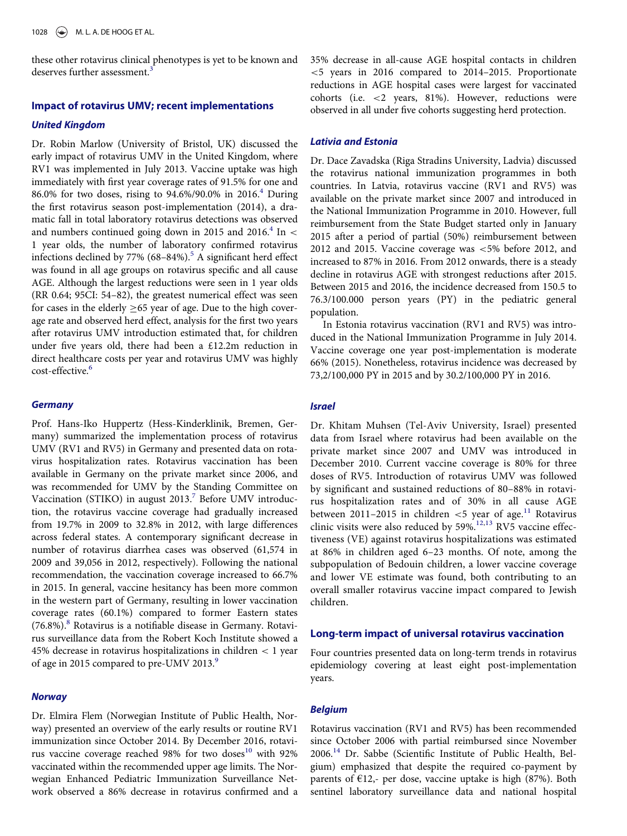these other rotavirus clinical phenotypes is yet to be known and deserves further assessment.<sup>[3](#page-6-2)</sup>

#### Impact of rotavirus UMV; recent implementations

#### United Kingdom

Dr. Robin Marlow (University of Bristol, UK) discussed the early impact of rotavirus UMV in the United Kingdom, where RV1 was implemented in July 2013. Vaccine uptake was high immediately with first year coverage rates of 91.5% for one and 86.0% for two doses, rising to  $94.6\%/90.0\%$  $94.6\%/90.0\%$  $94.6\%/90.0\%$  in 2016.<sup>4</sup> During the first rotavirus season post-implementation (2014), a dramatic fall in total laboratory rotavirus detections was observed and numbers continued going down in 2015 and 2016.<sup>4</sup> In < 1 year olds, the number of laboratory confirmed rotavirus infections declined by  $77\%$  (68–84%).<sup>[5](#page-6-4)</sup> A significant herd effect was found in all age groups on rotavirus specific and all cause AGE. Although the largest reductions were seen in 1 year olds (RR 0.64; 95CI: 54–82), the greatest numerical effect was seen for cases in the elderly  $\geq$  65 year of age. Due to the high coverage rate and observed herd effect, analysis for the first two years after rotavirus UMV introduction estimated that, for children under five years old, there had been a £12.2m reduction in direct healthcare costs per year and rotavirus UMV was highly cost-effective.[6](#page-6-5)

# **Germany**

Prof. Hans-Iko Huppertz (Hess-Kinderklinik, Bremen, Germany) summarized the implementation process of rotavirus UMV (RV1 and RV5) in Germany and presented data on rotavirus hospitalization rates. Rotavirus vaccination has been available in Germany on the private market since 2006, and was recommended for UMV by the Standing Committee on Vaccination (STIKO) in august 2013.<sup>[7](#page-6-6)</sup> Before UMV introduction, the rotavirus vaccine coverage had gradually increased from 19.7% in 2009 to 32.8% in 2012, with large differences across federal states. A contemporary significant decrease in number of rotavirus diarrhea cases was observed (61,574 in 2009 and 39,056 in 2012, respectively). Following the national recommendation, the vaccination coverage increased to 66.7% in 2015. In general, vaccine hesitancy has been more common in the western part of Germany, resulting in lower vaccination coverage rates (60.1%) compared to former Eastern states  $(76.8\%)$  $(76.8\%)$  $(76.8\%)$ .<sup>8</sup> Rotavirus is a notifiable disease in Germany. Rotavirus surveillance data from the Robert Koch Institute showed a 45% decrease in rotavirus hospitalizations in children < 1 year of age in 2015 compared to pre-UMV 2013.<sup>[9](#page-6-8)</sup>

#### **Norway**

Dr. Elmira Flem (Norwegian Institute of Public Health, Norway) presented an overview of the early results or routine RV1 immunization since October 2014. By December 2016, rotavi-rus vaccine coverage reached 98% for two doses<sup>[10](#page-6-9)</sup> with 92% vaccinated within the recommended upper age limits. The Norwegian Enhanced Pediatric Immunization Surveillance Network observed a 86% decrease in rotavirus confirmed and a 35% decrease in all-cause AGE hospital contacts in children <5 years in 2016 compared to 2014–2015. Proportionate reductions in AGE hospital cases were largest for vaccinated cohorts (i.e. <2 years, 81%). However, reductions were observed in all under five cohorts suggesting herd protection.

#### Lativia and Estonia

Dr. Dace Zavadska (Riga Stradins University, Ladvia) discussed the rotavirus national immunization programmes in both countries. In Latvia, rotavirus vaccine (RV1 and RV5) was available on the private market since 2007 and introduced in the National Immunization Programme in 2010. However, full reimbursement from the State Budget started only in January 2015 after a period of partial (50%) reimbursement between 2012 and 2015. Vaccine coverage was <5% before 2012, and increased to 87% in 2016. From 2012 onwards, there is a steady decline in rotavirus AGE with strongest reductions after 2015. Between 2015 and 2016, the incidence decreased from 150.5 to 76.3/100.000 person years (PY) in the pediatric general population.

In Estonia rotavirus vaccination (RV1 and RV5) was introduced in the National Immunization Programme in July 2014. Vaccine coverage one year post-implementation is moderate 66% (2015). Nonetheless, rotavirus incidence was decreased by 73,2/100,000 PY in 2015 and by 30.2/100,000 PY in 2016.

## Israel

Dr. Khitam Muhsen (Tel-Aviv University, Israel) presented data from Israel where rotavirus had been available on the private market since 2007 and UMV was introduced in December 2010. Current vaccine coverage is 80% for three doses of RV5. Introduction of rotavirus UMV was followed by significant and sustained reductions of 80–88% in rotavirus hospitalization rates and of 30% in all cause AGE between 20[11](#page-6-10)-2015 in children  $<$  5 year of age.<sup>11</sup> Rotavirus clinic visits were also reduced by 59%.[12](#page-6-11),[13](#page-6-12) RV5 vaccine effectiveness (VE) against rotavirus hospitalizations was estimated at 86% in children aged 6–23 months. Of note, among the subpopulation of Bedouin children, a lower vaccine coverage and lower VE estimate was found, both contributing to an overall smaller rotavirus vaccine impact compared to Jewish children.

#### Long-term impact of universal rotavirus vaccination

Four countries presented data on long-term trends in rotavirus epidemiology covering at least eight post-implementation years.

#### Belgium

Rotavirus vaccination (RV1 and RV5) has been recommended since October 2006 with partial reimbursed since November 2006.[14](#page-6-13) Dr. Sabbe (Scientific Institute of Public Health, Belgium) emphasized that despite the required co-payment by parents of  $E12$ ,- per dose, vaccine uptake is high (87%). Both sentinel laboratory surveillance data and national hospital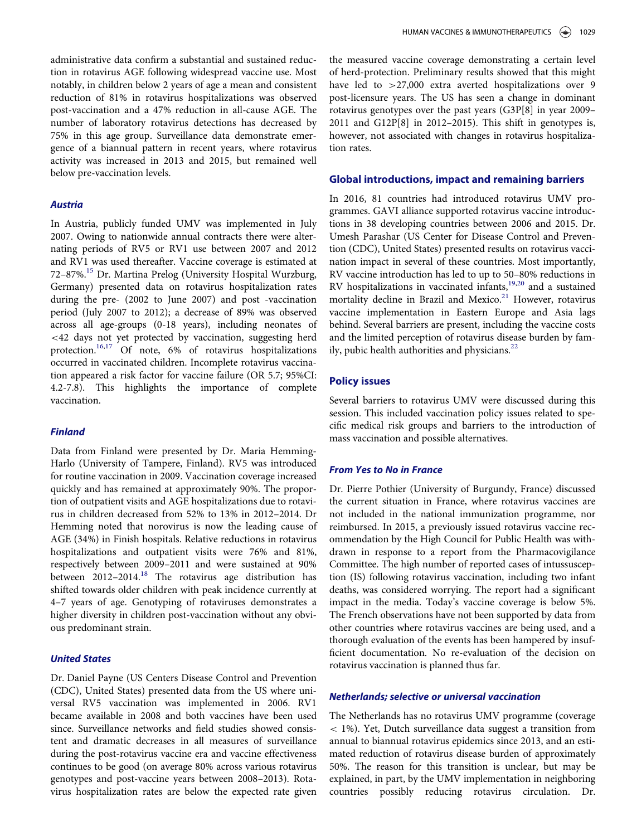administrative data confirm a substantial and sustained reduction in rotavirus AGE following widespread vaccine use. Most notably, in children below 2 years of age a mean and consistent reduction of 81% in rotavirus hospitalizations was observed post-vaccination and a 47% reduction in all-cause AGE. The number of laboratory rotavirus detections has decreased by 75% in this age group. Surveillance data demonstrate emergence of a biannual pattern in recent years, where rotavirus activity was increased in 2013 and 2015, but remained well below pre-vaccination levels.

## Austria

In Austria, publicly funded UMV was implemented in July 2007. Owing to nationwide annual contracts there were alternating periods of RV5 or RV1 use between 2007 and 2012 and RV1 was used thereafter. Vaccine coverage is estimated at 72–87%.[15](#page-6-14) Dr. Martina Prelog (University Hospital Wurzburg, Germany) presented data on rotavirus hospitalization rates during the pre- (2002 to June 2007) and post -vaccination period (July 2007 to 2012); a decrease of 89% was observed across all age-groups (0-18 years), including neonates of <42 days not yet protected by vaccination, suggesting herd protection[.16](#page-6-15),[17](#page-6-16) Of note, 6% of rotavirus hospitalizations occurred in vaccinated children. Incomplete rotavirus vaccination appeared a risk factor for vaccine failure (OR 5.7; 95%CI: 4.2-7.8). This highlights the importance of complete vaccination.

#### Finland

Data from Finland were presented by Dr. Maria Hemming-Harlo (University of Tampere, Finland). RV5 was introduced for routine vaccination in 2009. Vaccination coverage increased quickly and has remained at approximately 90%. The proportion of outpatient visits and AGE hospitalizations due to rotavirus in children decreased from 52% to 13% in 2012–2014. Dr Hemming noted that norovirus is now the leading cause of AGE (34%) in Finish hospitals. Relative reductions in rotavirus hospitalizations and outpatient visits were 76% and 81%, respectively between 2009–2011 and were sustained at 90% between  $2012-2014$ .<sup>[18](#page-6-17)</sup> The rotavirus age distribution has shifted towards older children with peak incidence currently at 4–7 years of age. Genotyping of rotaviruses demonstrates a higher diversity in children post-vaccination without any obvious predominant strain.

# United States

Dr. Daniel Payne (US Centers Disease Control and Prevention (CDC), United States) presented data from the US where universal RV5 vaccination was implemented in 2006. RV1 became available in 2008 and both vaccines have been used since. Surveillance networks and field studies showed consistent and dramatic decreases in all measures of surveillance during the post-rotavirus vaccine era and vaccine effectiveness continues to be good (on average 80% across various rotavirus genotypes and post-vaccine years between 2008–2013). Rotavirus hospitalization rates are below the expected rate given

the measured vaccine coverage demonstrating a certain level of herd-protection. Preliminary results showed that this might have led to >27,000 extra averted hospitalizations over 9 post-licensure years. The US has seen a change in dominant rotavirus genotypes over the past years (G3P[8] in year 2009– 2011 and G12P[8] in 2012–2015). This shift in genotypes is, however, not associated with changes in rotavirus hospitalization rates.

#### Global introductions, impact and remaining barriers

In 2016, 81 countries had introduced rotavirus UMV programmes. GAVI alliance supported rotavirus vaccine introductions in 38 developing countries between 2006 and 2015. Dr. Umesh Parashar (US Center for Disease Control and Prevention (CDC), United States) presented results on rotavirus vaccination impact in several of these countries. Most importantly, RV vaccine introduction has led to up to 50–80% reductions in RV hospitalizations in vaccinated infants,[19](#page-7-0),[20](#page-7-1) and a sustained mortality decline in Brazil and Mexico.<sup>21</sup> However, rotavirus vaccine implementation in Eastern Europe and Asia lags behind. Several barriers are present, including the vaccine costs and the limited perception of rotavirus disease burden by fam-ily, pubic health authorities and physicians.<sup>[22](#page-7-3)</sup>

# Policy issues

Several barriers to rotavirus UMV were discussed during this session. This included vaccination policy issues related to specific medical risk groups and barriers to the introduction of mass vaccination and possible alternatives.

## From Yes to No in France

Dr. Pierre Pothier (University of Burgundy, France) discussed the current situation in France, where rotavirus vaccines are not included in the national immunization programme, nor reimbursed. In 2015, a previously issued rotavirus vaccine recommendation by the High Council for Public Health was withdrawn in response to a report from the Pharmacovigilance Committee. The high number of reported cases of intussusception (IS) following rotavirus vaccination, including two infant deaths, was considered worrying. The report had a significant impact in the media. Today's vaccine coverage is below 5%. The French observations have not been supported by data from other countries where rotavirus vaccines are being used, and a thorough evaluation of the events has been hampered by insufficient documentation. No re-evaluation of the decision on rotavirus vaccination is planned thus far.

#### Netherlands; selective or universal vaccination

The Netherlands has no rotavirus UMV programme (coverage < 1%). Yet, Dutch surveillance data suggest a transition from annual to biannual rotavirus epidemics since 2013, and an estimated reduction of rotavirus disease burden of approximately 50%. The reason for this transition is unclear, but may be explained, in part, by the UMV implementation in neighboring countries possibly reducing rotavirus circulation. Dr.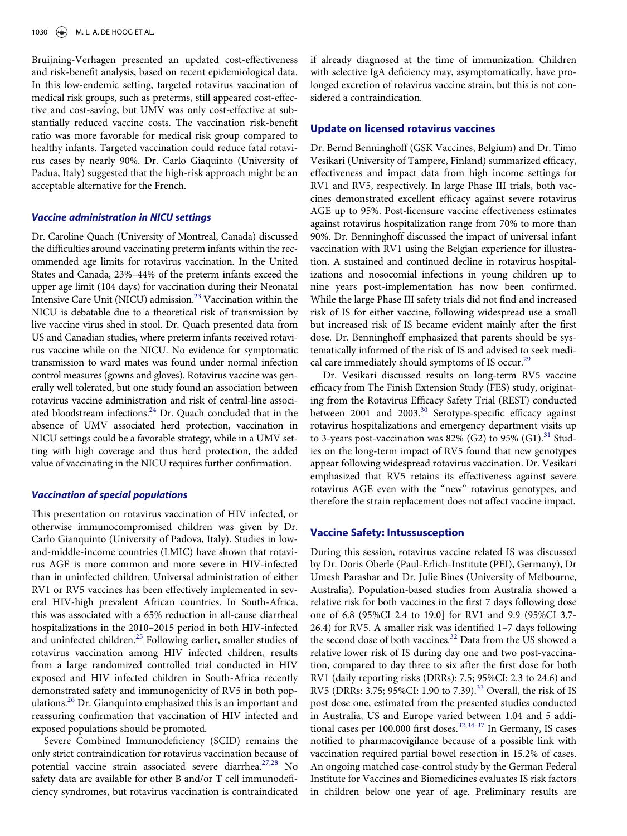Bruijning-Verhagen presented an updated cost-effectiveness and risk-benefit analysis, based on recent epidemiological data. In this low-endemic setting, targeted rotavirus vaccination of medical risk groups, such as preterms, still appeared cost-effective and cost-saving, but UMV was only cost-effective at substantially reduced vaccine costs. The vaccination risk-benefit ratio was more favorable for medical risk group compared to healthy infants. Targeted vaccination could reduce fatal rotavirus cases by nearly 90%. Dr. Carlo Giaquinto (University of Padua, Italy) suggested that the high-risk approach might be an acceptable alternative for the French.

## Vaccine administration in NICU settings

Dr. Caroline Quach (University of Montreal, Canada) discussed the difficulties around vaccinating preterm infants within the recommended age limits for rotavirus vaccination. In the United States and Canada, 23%–44% of the preterm infants exceed the upper age limit (104 days) for vaccination during their Neonatal Intensive Care Unit (NICU) admission.<sup>[23](#page-7-4)</sup> Vaccination within the NICU is debatable due to a theoretical risk of transmission by live vaccine virus shed in stool. Dr. Quach presented data from US and Canadian studies, where preterm infants received rotavirus vaccine while on the NICU. No evidence for symptomatic transmission to ward mates was found under normal infection control measures (gowns and gloves). Rotavirus vaccine was generally well tolerated, but one study found an association between rotavirus vaccine administration and risk of central-line associated bloodstream infections.<sup>24</sup> Dr. Quach concluded that in the absence of UMV associated herd protection, vaccination in NICU settings could be a favorable strategy, while in a UMV setting with high coverage and thus herd protection, the added value of vaccinating in the NICU requires further confirmation.

#### Vaccination of special populations

This presentation on rotavirus vaccination of HIV infected, or otherwise immunocompromised children was given by Dr. Carlo Gianquinto (University of Padova, Italy). Studies in lowand-middle-income countries (LMIC) have shown that rotavirus AGE is more common and more severe in HIV-infected than in uninfected children. Universal administration of either RV1 or RV5 vaccines has been effectively implemented in several HIV-high prevalent African countries. In South-Africa, this was associated with a 65% reduction in all-cause diarrheal hospitalizations in the 2010–2015 period in both HIV-infected and uninfected children.<sup>[25](#page-7-6)</sup> Following earlier, smaller studies of rotavirus vaccination among HIV infected children, results from a large randomized controlled trial conducted in HIV exposed and HIV infected children in South-Africa recently demonstrated safety and immunogenicity of RV5 in both populations.[26](#page-7-7) Dr. Gianquinto emphasized this is an important and reassuring confirmation that vaccination of HIV infected and exposed populations should be promoted.

Severe Combined Immunodeficiency (SCID) remains the only strict contraindication for rotavirus vaccination because of potential vaccine strain associated severe diarrhea.<sup>[27,](#page-7-8)[28](#page-7-9)</sup> No safety data are available for other B and/or T cell immunodeficiency syndromes, but rotavirus vaccination is contraindicated

if already diagnosed at the time of immunization. Children with selective IgA deficiency may, asymptomatically, have prolonged excretion of rotavirus vaccine strain, but this is not considered a contraindication.

# Update on licensed rotavirus vaccines

Dr. Bernd Benninghoff (GSK Vaccines, Belgium) and Dr. Timo Vesikari (University of Tampere, Finland) summarized efficacy, effectiveness and impact data from high income settings for RV1 and RV5, respectively. In large Phase III trials, both vaccines demonstrated excellent efficacy against severe rotavirus AGE up to 95%. Post-licensure vaccine effectiveness estimates against rotavirus hospitalization range from 70% to more than 90%. Dr. Benninghoff discussed the impact of universal infant vaccination with RV1 using the Belgian experience for illustration. A sustained and continued decline in rotavirus hospitalizations and nosocomial infections in young children up to nine years post-implementation has now been confirmed. While the large Phase III safety trials did not find and increased risk of IS for either vaccine, following widespread use a small but increased risk of IS became evident mainly after the first dose. Dr. Benninghoff emphasized that parents should be systematically informed of the risk of IS and advised to seek medi-cal care immediately should symptoms of IS occur.<sup>[29](#page-7-10)</sup>

Dr. Vesikari discussed results on long-term RV5 vaccine efficacy from The Finish Extension Study (FES) study, originating from the Rotavirus Efficacy Safety Trial (REST) conducted between 2001 and 2003.<sup>[30](#page-7-11)</sup> Serotype-specific efficacy against rotavirus hospitalizations and emergency department visits up to 3-years post-vaccination was 82% (G2) to 95% (G1).<sup>[31](#page-7-12)</sup> Studies on the long-term impact of RV5 found that new genotypes appear following widespread rotavirus vaccination. Dr. Vesikari emphasized that RV5 retains its effectiveness against severe rotavirus AGE even with the "new" rotavirus genotypes, and therefore the strain replacement does not affect vaccine impact.

#### Vaccine Safety: Intussusception

During this session, rotavirus vaccine related IS was discussed by Dr. Doris Oberle (Paul-Erlich-Institute (PEI), Germany), Dr Umesh Parashar and Dr. Julie Bines (University of Melbourne, Australia). Population-based studies from Australia showed a relative risk for both vaccines in the first 7 days following dose one of 6.8 (95%CI 2.4 to 19.0] for RV1 and 9.9 (95%CI 3.7- 26.4) for RV5. A smaller risk was identified 1–7 days following the second dose of both vaccines.<sup>[32](#page-7-13)</sup> Data from the US showed a relative lower risk of IS during day one and two post-vaccination, compared to day three to six after the first dose for both RV1 (daily reporting risks (DRRs): 7.5; 95%CI: 2.3 to 24.6) and RV5 (DRRs: 3.75; 95%CI: 1.90 to 7.39).<sup>[33](#page-7-14)</sup> Overall, the risk of IS post dose one, estimated from the presented studies conducted in Australia, US and Europe varied between 1.04 and 5 addi-tional cases per 100.000 first doses.<sup>[32](#page-7-13)[,34-37](#page-7-15)</sup> In Germany, IS cases notified to pharmacovigilance because of a possible link with vaccination required partial bowel resection in 15.2% of cases. An ongoing matched case-control study by the German Federal Institute for Vaccines and Biomedicines evaluates IS risk factors in children below one year of age. Preliminary results are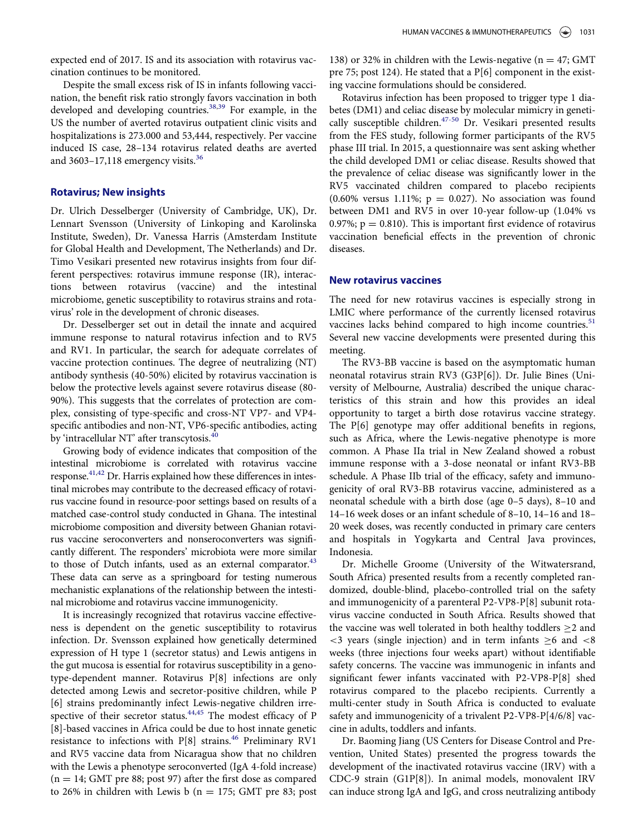expected end of 2017. IS and its association with rotavirus vaccination continues to be monitored.

Despite the small excess risk of IS in infants following vaccination, the benefit risk ratio strongly favors vaccination in both developed and developing countries. $38,39$  $38,39$  For example, in the US the number of averted rotavirus outpatient clinic visits and hospitalizations is 273.000 and 53,444, respectively. Per vaccine induced IS case, 28–134 rotavirus related deaths are averted and  $3603-17,118$  $3603-17,118$  emergency visits.<sup>36</sup>

#### Rotavirus; New insights

Dr. Ulrich Desselberger (University of Cambridge, UK), Dr. Lennart Svensson (University of Linkoping and Karolinska Institute, Sweden), Dr. Vanessa Harris (Amsterdam Institute for Global Health and Development, The Netherlands) and Dr. Timo Vesikari presented new rotavirus insights from four different perspectives: rotavirus immune response (IR), interactions between rotavirus (vaccine) and the intestinal microbiome, genetic susceptibility to rotavirus strains and rotavirus' role in the development of chronic diseases.

Dr. Desselberger set out in detail the innate and acquired immune response to natural rotavirus infection and to RV5 and RV1. In particular, the search for adequate correlates of vaccine protection continues. The degree of neutralizing (NT) antibody synthesis (40-50%) elicited by rotavirus vaccination is below the protective levels against severe rotavirus disease (80- 90%). This suggests that the correlates of protection are complex, consisting of type-specific and cross-NT VP7- and VP4 specific antibodies and non-NT, VP6-specific antibodies, acting by 'intracellular NT' after transcytosis.<sup>[40](#page-7-19)</sup>

Growing body of evidence indicates that composition of the intestinal microbiome is correlated with rotavirus vaccine response.<sup>41[,42](#page-7-21)</sup> Dr. Harris explained how these differences in intestinal microbes may contribute to the decreased efficacy of rotavirus vaccine found in resource-poor settings based on results of a matched case-control study conducted in Ghana. The intestinal microbiome composition and diversity between Ghanian rotavirus vaccine seroconverters and nonseroconverters was significantly different. The responders' microbiota were more similar to those of Dutch infants, used as an external comparator.<sup>43</sup> These data can serve as a springboard for testing numerous mechanistic explanations of the relationship between the intestinal microbiome and rotavirus vaccine immunogenicity.

It is increasingly recognized that rotavirus vaccine effectiveness is dependent on the genetic susceptibility to rotavirus infection. Dr. Svensson explained how genetically determined expression of H type 1 (secretor status) and Lewis antigens in the gut mucosa is essential for rotavirus susceptibility in a genotype-dependent manner. Rotavirus P[8] infections are only detected among Lewis and secretor-positive children, while P [6] strains predominantly infect Lewis-negative children irre-spective of their secretor status.<sup>[44,](#page-7-23)[45](#page-7-24)</sup> The modest efficacy of P [8]-based vaccines in Africa could be due to host innate genetic resistance to infections with  $P[8]$  strains.<sup>[46](#page-7-25)</sup> Preliminary RV1 and RV5 vaccine data from Nicaragua show that no children with the Lewis a phenotype seroconverted (IgA 4-fold increase)  $(n = 14; GMT$  pre 88; post 97) after the first dose as compared to 26% in children with Lewis b ( $n = 175$ ; GMT pre 83; post

138) or 32% in children with the Lewis-negative ( $n = 47$ ; GMT pre 75; post 124). He stated that a P[6] component in the existing vaccine formulations should be considered.

Rotavirus infection has been proposed to trigger type 1 diabetes (DM1) and celiac disease by molecular mimicry in geneti-cally susceptible children.<sup>[47-50](#page-7-26)</sup> Dr. Vesikari presented results from the FES study, following former participants of the RV5 phase III trial. In 2015, a questionnaire was sent asking whether the child developed DM1 or celiac disease. Results showed that the prevalence of celiac disease was significantly lower in the RV5 vaccinated children compared to placebo recipients (0.60% versus 1.11%;  $p = 0.027$ ). No association was found between DM1 and RV5 in over 10-year follow-up (1.04% vs 0.97%;  $p = 0.810$ ). This is important first evidence of rotavirus vaccination beneficial effects in the prevention of chronic diseases.

# New rotavirus vaccines

The need for new rotavirus vaccines is especially strong in LMIC where performance of the currently licensed rotavirus vaccines lacks behind compared to high income countries.<sup>[51](#page-8-0)</sup> Several new vaccine developments were presented during this meeting.

The RV3-BB vaccine is based on the asymptomatic human neonatal rotavirus strain RV3 (G3P[6]). Dr. Julie Bines (University of Melbourne, Australia) described the unique characteristics of this strain and how this provides an ideal opportunity to target a birth dose rotavirus vaccine strategy. The P[6] genotype may offer additional benefits in regions, such as Africa, where the Lewis-negative phenotype is more common. A Phase IIa trial in New Zealand showed a robust immune response with a 3-dose neonatal or infant RV3-BB schedule. A Phase IIb trial of the efficacy, safety and immunogenicity of oral RV3-BB rotavirus vaccine, administered as a neonatal schedule with a birth dose (age 0–5 days), 8–10 and 14–16 week doses or an infant schedule of 8–10, 14–16 and 18– 20 week doses, was recently conducted in primary care centers and hospitals in Yogykarta and Central Java provinces, Indonesia.

Dr. Michelle Groome (University of the Witwatersrand, South Africa) presented results from a recently completed randomized, double-blind, placebo-controlled trial on the safety and immunogenicity of a parenteral P2-VP8-P[8] subunit rotavirus vaccine conducted in South Africa. Results showed that the vaccine was well tolerated in both healthy toddlers  $\geq$  2 and  $\langle$  <3 years (single injection) and in term infants  $\geq 6$  and  $\langle$  <8 weeks (three injections four weeks apart) without identifiable safety concerns. The vaccine was immunogenic in infants and significant fewer infants vaccinated with P2-VP8-P[8] shed rotavirus compared to the placebo recipients. Currently a multi-center study in South Africa is conducted to evaluate safety and immunogenicity of a trivalent P2-VP8-P[4/6/8] vaccine in adults, toddlers and infants.

Dr. Baoming Jiang (US Centers for Disease Control and Prevention, United States) presented the progress towards the development of the inactivated rotavirus vaccine (IRV) with a CDC-9 strain (G1P[8]). In animal models, monovalent IRV can induce strong IgA and IgG, and cross neutralizing antibody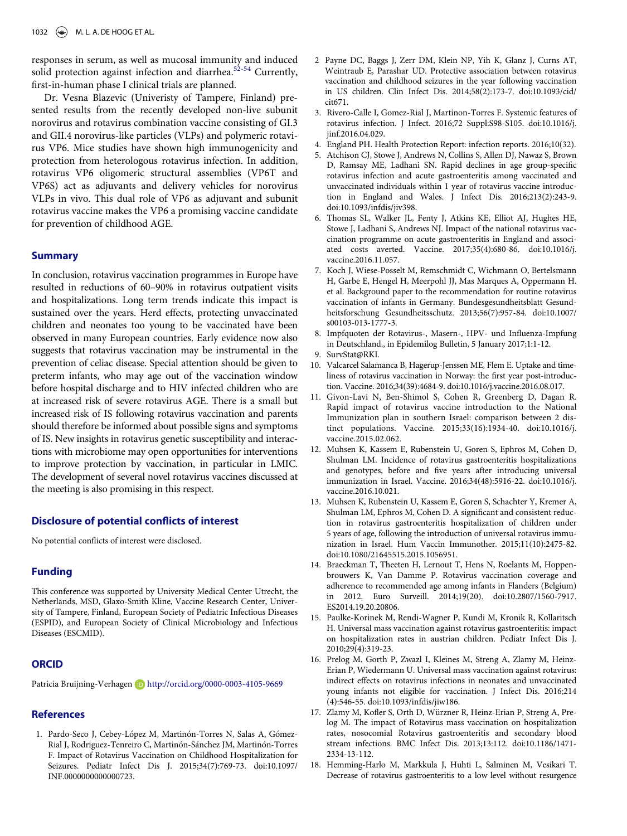<span id="page-6-1"></span>responses in serum, as well as mucosal immunity and induced solid protection against infection and diarrhea.<sup>[52-54](#page-8-1)</sup> Currently, first-in-human phase I clinical trials are planned.

<span id="page-6-4"></span><span id="page-6-3"></span><span id="page-6-2"></span>Dr. Vesna Blazevic (Univeristy of Tampere, Finland) presented results from the recently developed non-live subunit norovirus and rotavirus combination vaccine consisting of GI.3 and GII.4 norovirus-like particles (VLPs) and polymeric rotavirus VP6. Mice studies have shown high immunogenicity and protection from heterologous rotavirus infection. In addition, rotavirus VP6 oligomeric structural assemblies (VP6T and VP6S) act as adjuvants and delivery vehicles for norovirus VLPs in vivo. This dual role of VP6 as adjuvant and subunit rotavirus vaccine makes the VP6 a promising vaccine candidate for prevention of childhood AGE.

# <span id="page-6-5"></span>**Summary**

<span id="page-6-10"></span><span id="page-6-9"></span><span id="page-6-8"></span><span id="page-6-7"></span><span id="page-6-6"></span>In conclusion, rotavirus vaccination programmes in Europe have resulted in reductions of 60–90% in rotavirus outpatient visits and hospitalizations. Long term trends indicate this impact is sustained over the years. Herd effects, protecting unvaccinated children and neonates too young to be vaccinated have been observed in many European countries. Early evidence now also suggests that rotavirus vaccination may be instrumental in the prevention of celiac disease. Special attention should be given to preterm infants, who may age out of the vaccination window before hospital discharge and to HIV infected children who are at increased risk of severe rotavirus AGE. There is a small but increased risk of IS following rotavirus vaccination and parents should therefore be informed about possible signs and symptoms of IS. New insights in rotavirus genetic susceptibility and interactions with microbiome may open opportunities for interventions to improve protection by vaccination, in particular in LMIC. The development of several novel rotavirus vaccines discussed at the meeting is also promising in this respect.

# <span id="page-6-12"></span><span id="page-6-11"></span>Disclosure of potential conflicts of interest

No potential conflicts of interest were disclosed.

# <span id="page-6-13"></span>Funding

<span id="page-6-14"></span>This conference was supported by University Medical Center Utrecht, the Netherlands, MSD, Glaxo-Smith Kline, Vaccine Research Center, University of Tampere, Finland, European Society of Pediatric Infectious Diseases (ESPID), and European Society of Clinical Microbiology and Infectious Diseases (ESCMID).

# <span id="page-6-15"></span>**ORCID**

Patricia Bruijning-Verhagen **b** <http://orcid.org/0000-0003-4105-9669>

# <span id="page-6-16"></span>References

<span id="page-6-17"></span><span id="page-6-0"></span>1. Pardo-Seco J, Cebey-López M, Martinón-Torres N, Salas A, Gómez-Rial J, Rodriguez-Tenreiro C, Martinón-Sánchez JM, Martinón-Torres F. Impact of Rotavirus Vaccination on Childhood Hospitalization for Seizures. Pediatr Infect Dis J. 2015;34(7):769-73. doi[:10.1097/](https://doi.org/10.1097/INF.0000000000000723) [INF.0000000000000723.](https://doi.org/10.1097/INF.0000000000000723)

- 2 Payne DC, Baggs J, Zerr DM, Klein NP, Yih K, Glanz J, Curns AT, Weintraub E, Parashar UD. Protective association between rotavirus vaccination and childhood seizures in the year following vaccination in US children. Clin Infect Dis. 2014;58(2):173-7. doi[:10.1093/cid/](https://doi.org/10.1093/cid/cit671) [cit671.](https://doi.org/10.1093/cid/cit671)
- 3. Rivero-Calle I, Gomez-Rial J, Martinon-Torres F. Systemic features of rotavirus infection. J Infect. 2016;72 Suppl:S98-S105. doi[:10.1016/j.](https://doi.org/10.1016/j.jinf.2016.04.029) [jinf.2016.04.029.](https://doi.org/10.1016/j.jinf.2016.04.029)
- 4. England PH. Health Protection Report: infection reports. 2016;10(32).
- 5. Atchison CJ, Stowe J, Andrews N, Collins S, Allen DJ, Nawaz S, Brown D, Ramsay ME, Ladhani SN. Rapid declines in age group-specific rotavirus infection and acute gastroenteritis among vaccinated and unvaccinated individuals within 1 year of rotavirus vaccine introduction in England and Wales. J Infect Dis. 2016;213(2):243-9. doi[:10.1093/infdis/jiv398.](https://doi.org/10.1093/infdis/jiv398)
- 6. Thomas SL, Walker JL, Fenty J, Atkins KE, Elliot AJ, Hughes HE, Stowe J, Ladhani S, Andrews NJ. Impact of the national rotavirus vaccination programme on acute gastroenteritis in England and associated costs averted. Vaccine. 2017;35(4):680-86. doi[:10.1016/j.](https://doi.org/10.1016/j.vaccine.2016.11.057) [vaccine.2016.11.057.](https://doi.org/10.1016/j.vaccine.2016.11.057)
- 7. Koch J, Wiese-Posselt M, Remschmidt C, Wichmann O, Bertelsmann H, Garbe E, Hengel H, Meerpohl JJ, Mas Marques A, Oppermann H. et al. Background paper to the recommendation for routine rotavirus vaccination of infants in Germany. Bundesgesundheitsblatt Gesundheitsforschung Gesundheitsschutz. 2013;56(7):957-84. doi[:10.1007/](https://doi.org/10.1007/s00103-013-1777-3) [s00103-013-1777-3.](https://doi.org/10.1007/s00103-013-1777-3)
- 8. Impfquoten der Rotavirus-, Masern-, HPV- und Influenza-Impfung in Deutschland., in Epidemilog Bulletin, 5 January 2017;1:1-12.
- 9. SurvStat@RKI.
- 10. Valcarcel Salamanca B, Hagerup-Jenssen ME, Flem E. Uptake and timeliness of rotavirus vaccination in Norway: the first year post-introduction. Vaccine. 2016;34(39):4684-9. doi[:10.1016/j.vaccine.2016.08.017.](https://doi.org/10.1016/j.vaccine.2016.08.017)
- 11. Givon-Lavi N, Ben-Shimol S, Cohen R, Greenberg D, Dagan R. Rapid impact of rotavirus vaccine introduction to the National Immunization plan in southern Israel: comparison between 2 distinct populations. Vaccine. 2015;33(16):1934-40. doi[:10.1016/j.](https://doi.org/10.1016/j.vaccine.2015.02.062) [vaccine.2015.02.062.](https://doi.org/10.1016/j.vaccine.2015.02.062)
- 12. Muhsen K, Kassem E, Rubenstein U, Goren S, Ephros M, Cohen D, Shulman LM. Incidence of rotavirus gastroenteritis hospitalizations and genotypes, before and five years after introducing universal immunization in Israel. Vaccine. 2016;34(48):5916-22. doi[:10.1016/j.](https://doi.org/10.1016/j.vaccine.2016.10.021) vaccine.2016.10.021
- 13. Muhsen K, Rubenstein U, Kassem E, Goren S, Schachter Y, Kremer A, Shulman LM, Ephros M, Cohen D. A significant and consistent reduction in rotavirus gastroenteritis hospitalization of children under 5 years of age, following the introduction of universal rotavirus immunization in Israel. Hum Vaccin Immunother. 2015;11(10):2475-82. doi[:10.1080/21645515.2015.1056951.](https://doi.org/10.1080/21645515.2015.1056951)
- 14. Braeckman T, Theeten H, Lernout T, Hens N, Roelants M, Hoppenbrouwers K, Van Damme P. Rotavirus vaccination coverage and adherence to recommended age among infants in Flanders (Belgium) in 2012. Euro Surveill. 2014;19(20). doi:[10.2807/1560-7917.](https://doi.org/10.2807/1560-7917.ES2014.19.20.20806) [ES2014.19.20.20806.](https://doi.org/10.2807/1560-7917.ES2014.19.20.20806)
- 15. Paulke-Korinek M, Rendi-Wagner P, Kundi M, Kronik R, Kollaritsch H. Universal mass vaccination against rotavirus gastroenteritis: impact on hospitalization rates in austrian children. Pediatr Infect Dis J. 2010;29(4):319-23.
- 16. Prelog M, Gorth P, Zwazl I, Kleines M, Streng A, Zlamy M, Heinz-Erian P, Wiedermann U. Universal mass vaccination against rotavirus: indirect effects on rotavirus infections in neonates and unvaccinated young infants not eligible for vaccination. J Infect Dis. 2016;214 (4):546-55. doi[:10.1093/infdis/jiw186.](https://doi.org/10.1093/infdis/jiw186)
- 17. Zlamy M, Kofler S, Orth D, Würzner R, Heinz-Erian P, Streng A, Prelog M. The impact of Rotavirus mass vaccination on hospitalization rates, nosocomial Rotavirus gastroenteritis and secondary blood stream infections. BMC Infect Dis. 2013;13:112. doi[:10.1186/1471-](https://doi.org/10.1186/1471-2334-13-112) [2334-13-112.](https://doi.org/10.1186/1471-2334-13-112)
- 18. Hemming-Harlo M, Markkula J, Huhti L, Salminen M, Vesikari T. Decrease of rotavirus gastroenteritis to a low level without resurgence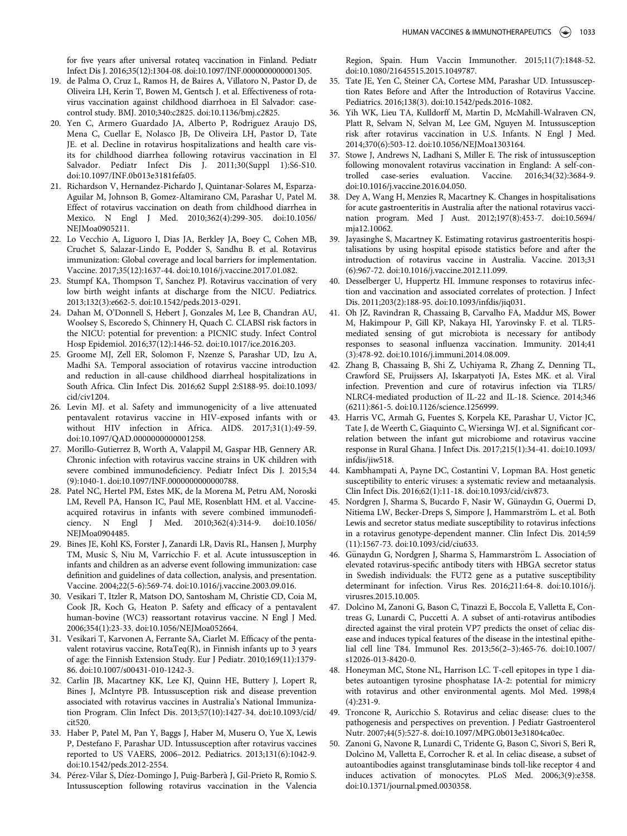for five years after universal rotateq vaccination in Finland. Pediatr Infect Dis J. 2016;35(12):1304-08. doi[:10.1097/INF.0000000000001305.](https://doi.org/10.1097/INF.0000000000001305)

- <span id="page-7-0"></span>19. de Palma O, Cruz L, Ramos H, de Baires A, Villatoro N, Pastor D, de Oliveira LH, Kerin T, Bowen M, Gentsch J. et al. Effectiveness of rotavirus vaccination against childhood diarrhoea in El Salvador: casecontrol study. BMJ. 2010;340:c2825. doi[:10.1136/bmj.c2825.](https://doi.org/10.1136/bmj.c2825)
- <span id="page-7-18"></span><span id="page-7-1"></span>20. Yen C, Armero Guardado JA, Alberto P, Rodriguez Araujo DS, Mena C, Cuellar E, Nolasco JB, De Oliveira LH, Pastor D, Tate JE. et al. Decline in rotavirus hospitalizations and health care visits for childhood diarrhea following rotavirus vaccination in El Salvador. Pediatr Infect Dis J. 2011;30(Suppl 1):S6-S10. doi[:10.1097/INF.0b013e3181fefa05.](https://doi.org/10.1097/INF.0b013e3181fefa05)
- <span id="page-7-16"></span><span id="page-7-2"></span>21. Richardson V, Hernandez-Pichardo J, Quintanar-Solares M, Esparza-Aguilar M, Johnson B, Gomez-Altamirano CM, Parashar U, Patel M. Effect of rotavirus vaccination on death from childhood diarrhea in Mexico. N Engl J Med. 2010;362(4):299-305. doi[:10.1056/](https://doi.org/10.1056/NEJMoa0905211) [NEJMoa0905211.](https://doi.org/10.1056/NEJMoa0905211)
- <span id="page-7-17"></span><span id="page-7-3"></span>22. Lo Vecchio A, Liguoro I, Dias JA, Berkley JA, Boey C, Cohen MB, Cruchet S, Salazar-Lindo E, Podder S, Sandhu B. et al. Rotavirus immunization: Global coverage and local barriers for implementation. Vaccine. 2017;35(12):1637-44. doi[:10.1016/j.vaccine.2017.01.082.](https://doi.org/10.1016/j.vaccine.2017.01.082)
- <span id="page-7-19"></span><span id="page-7-4"></span>23. Stumpf KA, Thompson T, Sanchez PJ. Rotavirus vaccination of very low birth weight infants at discharge from the NICU. Pediatrics. 2013;132(3):e662-5. doi:[10.1542/peds.2013-0291.](https://doi.org/10.1542/peds.2013-0291)
- <span id="page-7-20"></span><span id="page-7-5"></span>24. Dahan M, O'Donnell S, Hebert J, Gonzales M, Lee B, Chandran AU, Woolsey S, Escoredo S, Chinnery H, Quach C. CLABSI risk factors in the NICU: potential for prevention: a PICNIC study. Infect Control Hosp Epidemiol. 2016;37(12):1446-52. doi[:10.1017/ice.2016.203.](https://doi.org/10.1017/ice.2016.203)
- <span id="page-7-21"></span><span id="page-7-6"></span>25. Groome MJ, Zell ER, Solomon F, Nzenze S, Parashar UD, Izu A, Madhi SA. Temporal association of rotavirus vaccine introduction and reduction in all-cause childhood diarrheal hospitalizations in South Africa. Clin Infect Dis. 2016;62 Suppl 2:S188-95. doi[:10.1093/](https://doi.org/10.1093/cid/civ1204) [cid/civ1204.](https://doi.org/10.1093/cid/civ1204)
- <span id="page-7-22"></span><span id="page-7-7"></span>26. Levin MJ. et al. Safety and immunogenicity of a live attenuated pentavalent rotavirus vaccine in HIV-exposed infants with or without HIV infection in Africa. AIDS. 2017;31(1):49-59. doi[:10.1097/QAD.0000000000001258.](https://doi.org/10.1097/QAD.0000000000001258)
- <span id="page-7-23"></span><span id="page-7-8"></span>27. Morillo-Gutierrez B, Worth A, Valappil M, Gaspar HB, Gennery AR. Chronic infection with rotavirus vaccine strains in UK children with severe combined immunodeficiency. Pediatr Infect Dis J. 2015;34 (9):1040-1. doi:[10.1097/INF.0000000000000788.](https://doi.org/10.1097/INF.0000000000000788)
- <span id="page-7-24"></span><span id="page-7-9"></span>28. Patel NC, Hertel PM, Estes MK, de la Morena M, Petru AM, Noroski LM, Revell PA, Hanson IC, Paul ME, Rosenblatt HM. et al. Vaccineacquired rotavirus in infants with severe combined immunodeficiency. N Engl J Med. 2010;362(4):314-9. doi[:10.1056/](https://doi.org/10.1056/NEJMoa0904485) [NEJMoa0904485.](https://doi.org/10.1056/NEJMoa0904485)
- <span id="page-7-25"></span><span id="page-7-10"></span>29. Bines JE, Kohl KS, Forster J, Zanardi LR, Davis RL, Hansen J, Murphy TM, Music S, Niu M, Varricchio F. et al. Acute intussusception in infants and children as an adverse event following immunization: case definition and guidelines of data collection, analysis, and presentation. Vaccine. 2004;22(5-6):569-74. doi[:10.1016/j.vaccine.2003.09.016.](https://doi.org/10.1016/j.vaccine.2003.09.016)
- <span id="page-7-26"></span><span id="page-7-11"></span>30. Vesikari T, Itzler R, Matson DO, Santosham M, Christie CD, Coia M, Cook JR, Koch G, Heaton P. Safety and efficacy of a pentavalent human-bovine (WC3) reassortant rotavirus vaccine. N Engl J Med. 2006;354(1):23-33. doi[:10.1056/NEJMoa052664.](https://doi.org/10.1056/NEJMoa052664)
- <span id="page-7-12"></span>31. Vesikari T, Karvonen A, Ferrante SA, Ciarlet M. Efficacy of the pentavalent rotavirus vaccine,  $RotaTeq(R)$ , in Finnish infants up to 3 years of age: the Finnish Extension Study. Eur J Pediatr. 2010;169(11):1379- 86. doi:[10.1007/s00431-010-1242-3.](https://doi.org/10.1007/s00431-010-1242-3)
- <span id="page-7-13"></span>32. Carlin JB, Macartney KK, Lee KJ, Quinn HE, Buttery J, Lopert R, Bines J, McIntyre PB. Intussusception risk and disease prevention associated with rotavirus vaccines in Australia's National Immunization Program. Clin Infect Dis. 2013;57(10):1427-34. doi[:10.1093/cid/](https://doi.org/10.1093/cid/cit520) [cit520.](https://doi.org/10.1093/cid/cit520)
- <span id="page-7-14"></span>33. Haber P, Patel M, Pan Y, Baggs J, Haber M, Museru O, Yue X, Lewis P, Destefano F, Parashar UD. Intussusception after rotavirus vaccines reported to US VAERS, 2006–2012. Pediatrics. 2013;131(6):1042-9. doi:[10.1542/peds.2012-2554.](https://doi.org/10.1542/peds.2012-2554)
- <span id="page-7-15"></span>34. Pérez-Vilar S, Díez-Domingo J, Puig-Barberà J, Gil-Prieto R, Romio S. Intussusception following rotavirus vaccination in the Valencia

Region, Spain. Hum Vaccin Immunother. 2015;11(7):1848-52. doi[:10.1080/21645515.2015.1049787.](https://doi.org/10.1080/21645515.2015.1049787)

- 35. Tate JE, Yen C, Steiner CA, Cortese MM, Parashar UD. Intussusception Rates Before and After the Introduction of Rotavirus Vaccine. Pediatrics. 2016;138(3). doi[:10.1542/peds.2016-1082.](https://doi.org/10.1542/peds.2016-1082)
- 36. Yih WK, Lieu TA, Kulldorff M, Martin D, McMahill-Walraven CN, Platt R, Selvam N, Selvan M, Lee GM, Nguyen M. Intussusception risk after rotavirus vaccination in U.S. Infants. N Engl J Med. 2014;370(6):503-12. doi[:10.1056/NEJMoa1303164.](https://doi.org/10.1056/NEJMoa1303164)
- 37. Stowe J, Andrews N, Ladhani S, Miller E. The risk of intussusception following monovalent rotavirus vaccination in England: A self-controlled case-series evaluation. Vaccine. 2016;34(32):3684-9. doi[:10.1016/j.vaccine.2016.04.050.](https://doi.org/10.1016/j.vaccine.2016.04.050)
- 38. Dey A, Wang H, Menzies R, Macartney K. Changes in hospitalisations for acute gastroenteritis in Australia after the national rotavirus vaccination program. Med J Aust. 2012;197(8):453-7. doi[:10.5694/](https://doi.org/10.5694/mja12.10062) [mja12.10062.](https://doi.org/10.5694/mja12.10062)
- 39. Jayasinghe S, Macartney K. Estimating rotavirus gastroenteritis hospitalisations by using hospital episode statistics before and after the introduction of rotavirus vaccine in Australia. Vaccine. 2013;31 (6):967-72. doi[:10.1016/j.vaccine.2012.11.099.](https://doi.org/10.1016/j.vaccine.2012.11.099)
- 40. Desselberger U, Huppertz HI. Immune responses to rotavirus infection and vaccination and associated correlates of protection. J Infect Dis. 2011;203(2):188-95. doi:[10.1093/infdis/jiq031.](https://doi.org/10.1093/infdis/jiq031)
- 41. Oh JZ, Ravindran R, Chassaing B, Carvalho FA, Maddur MS, Bower M, Hakimpour P, Gill KP, Nakaya HI, Yarovinsky F. et al. TLR5 mediated sensing of gut microbiota is necessary for antibody responses to seasonal influenza vaccination. Immunity. 2014;41 (3):478-92. doi[:10.1016/j.immuni.2014.08.009.](https://doi.org/10.1016/j.immuni.2014.08.009)
- 42. Zhang B, Chassaing B, Shi Z, Uchiyama R, Zhang Z, Denning TL, Crawford SE, Pruijssers AJ, Iskarpatyoti JA, Estes MK. et al. Viral infection. Prevention and cure of rotavirus infection via TLR5/ NLRC4-mediated production of IL-22 and IL-18. Science. 2014;346 (6211):861-5. doi[:10.1126/science.1256999.](https://doi.org/10.1126/science.1256999)
- 43. Harris VC, Armah G, Fuentes S, Korpela KE, Parashar U, Victor JC, Tate J, de Weerth C, Giaquinto C, Wiersinga WJ. et al. Significant correlation between the infant gut microbiome and rotavirus vaccine response in Rural Ghana. J Infect Dis. 2017;215(1):34-41. doi[:10.1093/](https://doi.org/10.1093/infdis/jiw518) [infdis/jiw518.](https://doi.org/10.1093/infdis/jiw518)
- 44. Kambhampati A, Payne DC, Costantini V, Lopman BA. Host genetic susceptibility to enteric viruses: a systematic review and metaanalysis. Clin Infect Dis. 2016;62(1):11-18. doi:[10.1093/cid/civ873.](https://doi.org/10.1093/cid/civ873)
- 45. Nordgren J, Sharma S, Bucardo F, Nasir W, Günaydın G, Ouermi D, Nitiema LW, Becker-Dreps S, Simpore J, Hammarström L. et al. Both Lewis and secretor status mediate susceptibility to rotavirus infections in a rotavirus genotype-dependent manner. Clin Infect Dis. 2014;59 (11):1567-73. doi[:10.1093/cid/ciu633.](https://doi.org/10.1093/cid/ciu633)
- 46. Günaydın G, Nordgren J, Sharma S, Hammarström L. Association of elevated rotavirus-specific antibody titers with HBGA secretor status in Swedish individuals: the FUT2 gene as a putative susceptibility determinant for infection. Virus Res. 2016;211:64-8. doi[:10.1016/j.](https://doi.org/10.1016/j.virusres.2015.10.005) [virusres.2015.10.005.](https://doi.org/10.1016/j.virusres.2015.10.005)
- 47. Dolcino M, Zanoni G, Bason C, Tinazzi E, Boccola E, Valletta E, Contreas G, Lunardi C, Puccetti A. A subset of anti-rotavirus antibodies directed against the viral protein VP7 predicts the onset of celiac disease and induces typical features of the disease in the intestinal epithelial cell line T84. Immunol Res. 2013;56(2–3):465-76. doi[:10.1007/](https://doi.org/10.1007/s12026-013-8420-0) [s12026-013-8420-0.](https://doi.org/10.1007/s12026-013-8420-0)
- 48. Honeyman MC, Stone NL, Harrison LC. T-cell epitopes in type 1 diabetes autoantigen tyrosine phosphatase IA-2: potential for mimicry with rotavirus and other environmental agents. Mol Med. 1998;4 (4):231-9.
- 49. Troncone R, Auricchio S. Rotavirus and celiac disease: clues to the pathogenesis and perspectives on prevention. J Pediatr Gastroenterol Nutr. 2007;44(5):527-8. doi[:10.1097/MPG.0b013e31804ca0ec.](https://doi.org/10.1097/MPG.0b013e31804ca0ec)
- Zanoni G, Navone R, Lunardi C, Tridente G, Bason C, Sivori S, Beri R, Dolcino M, Valletta E, Corrocher R. et al. In celiac disease, a subset of autoantibodies against transglutaminase binds toll-like receptor 4 and induces activation of monocytes. PLoS Med. 2006;3(9):e358. doi[:10.1371/journal.pmed.0030358.](https://doi.org/10.1371/journal.pmed.0030358)